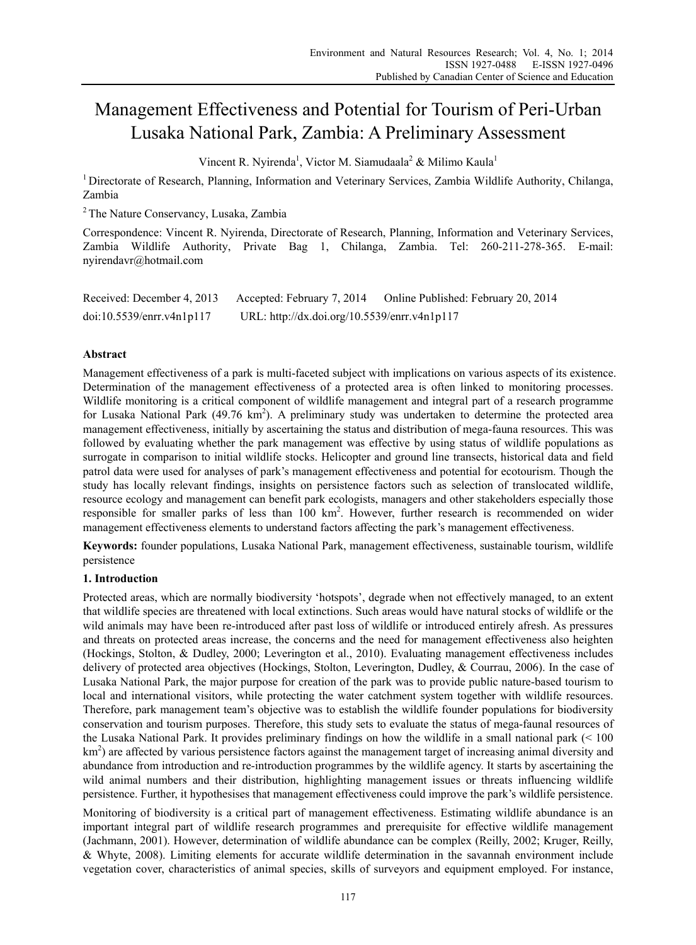# Management Effectiveness and Potential for Tourism of Peri-Urban Lusaka National Park, Zambia: A Preliminary Assessment

Vincent R. Nyirenda<sup>1</sup>, Victor M. Siamudaala<sup>2</sup> & Milimo Kaula<sup>1</sup>

1 Directorate of Research, Planning, Information and Veterinary Services, Zambia Wildlife Authority, Chilanga, Zambia

2 The Nature Conservancy, Lusaka, Zambia

Correspondence: Vincent R. Nyirenda, Directorate of Research, Planning, Information and Veterinary Services, Zambia Wildlife Authority, Private Bag 1, Chilanga, Zambia. Tel: 260-211-278-365. E-mail: nyirendavr@hotmail.com

| Received: December 4, 2013 | Accepted: February 7, 2014                   | Online Published: February 20, 2014 |
|----------------------------|----------------------------------------------|-------------------------------------|
| doi:10.5539/enrr.v4n1p117  | URL: http://dx.doi.org/10.5539/enrr.v4n1p117 |                                     |

# **Abstract**

Management effectiveness of a park is multi-faceted subject with implications on various aspects of its existence. Determination of the management effectiveness of a protected area is often linked to monitoring processes. Wildlife monitoring is a critical component of wildlife management and integral part of a research programme for Lusaka National Park (49.76  $km^2$ ). A preliminary study was undertaken to determine the protected area management effectiveness, initially by ascertaining the status and distribution of mega-fauna resources. This was followed by evaluating whether the park management was effective by using status of wildlife populations as surrogate in comparison to initial wildlife stocks. Helicopter and ground line transects, historical data and field patrol data were used for analyses of park's management effectiveness and potential for ecotourism. Though the study has locally relevant findings, insights on persistence factors such as selection of translocated wildlife, resource ecology and management can benefit park ecologists, managers and other stakeholders especially those responsible for smaller parks of less than 100 km<sup>2</sup>. However, further research is recommended on wider management effectiveness elements to understand factors affecting the park's management effectiveness.

**Keywords:** founder populations, Lusaka National Park, management effectiveness, sustainable tourism, wildlife persistence

# **1. Introduction**

Protected areas, which are normally biodiversity 'hotspots', degrade when not effectively managed, to an extent that wildlife species are threatened with local extinctions. Such areas would have natural stocks of wildlife or the wild animals may have been re-introduced after past loss of wildlife or introduced entirely afresh. As pressures and threats on protected areas increase, the concerns and the need for management effectiveness also heighten (Hockings, Stolton, & Dudley, 2000; Leverington et al., 2010). Evaluating management effectiveness includes delivery of protected area objectives (Hockings, Stolton, Leverington, Dudley, & Courrau, 2006). In the case of Lusaka National Park, the major purpose for creation of the park was to provide public nature-based tourism to local and international visitors, while protecting the water catchment system together with wildlife resources. Therefore, park management team's objective was to establish the wildlife founder populations for biodiversity conservation and tourism purposes. Therefore, this study sets to evaluate the status of mega-faunal resources of the Lusaka National Park. It provides preliminary findings on how the wildlife in a small national park (< 100  $km<sup>2</sup>$ ) are affected by various persistence factors against the management target of increasing animal diversity and abundance from introduction and re-introduction programmes by the wildlife agency. It starts by ascertaining the wild animal numbers and their distribution, highlighting management issues or threats influencing wildlife persistence. Further, it hypothesises that management effectiveness could improve the park's wildlife persistence.

Monitoring of biodiversity is a critical part of management effectiveness. Estimating wildlife abundance is an important integral part of wildlife research programmes and prerequisite for effective wildlife management (Jachmann, 2001). However, determination of wildlife abundance can be complex (Reilly, 2002; Kruger, Reilly, & Whyte, 2008). Limiting elements for accurate wildlife determination in the savannah environment include vegetation cover, characteristics of animal species, skills of surveyors and equipment employed. For instance,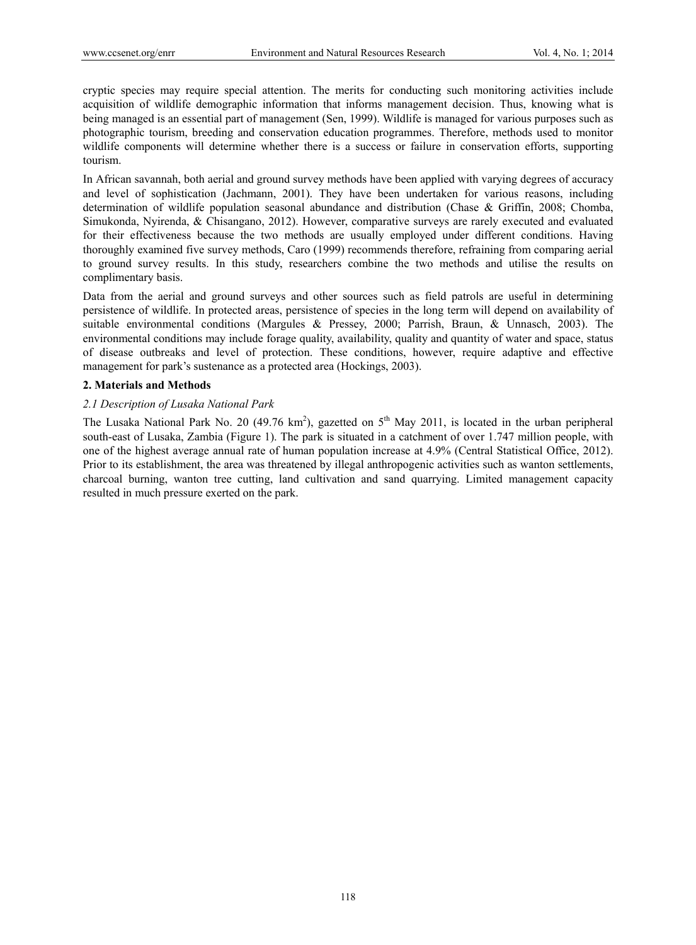cryptic species may require special attention. The merits for conducting such monitoring activities include acquisition of wildlife demographic information that informs management decision. Thus, knowing what is being managed is an essential part of management (Sen, 1999). Wildlife is managed for various purposes such as photographic tourism, breeding and conservation education programmes. Therefore, methods used to monitor wildlife components will determine whether there is a success or failure in conservation efforts, supporting tourism.

In African savannah, both aerial and ground survey methods have been applied with varying degrees of accuracy and level of sophistication (Jachmann, 2001). They have been undertaken for various reasons, including determination of wildlife population seasonal abundance and distribution (Chase & Griffin, 2008; Chomba, Simukonda, Nyirenda, & Chisangano, 2012). However, comparative surveys are rarely executed and evaluated for their effectiveness because the two methods are usually employed under different conditions. Having thoroughly examined five survey methods, Caro (1999) recommends therefore, refraining from comparing aerial to ground survey results. In this study, researchers combine the two methods and utilise the results on complimentary basis.

Data from the aerial and ground surveys and other sources such as field patrols are useful in determining persistence of wildlife. In protected areas, persistence of species in the long term will depend on availability of suitable environmental conditions (Margules & Pressey, 2000; Parrish, Braun, & Unnasch, 2003). The environmental conditions may include forage quality, availability, quality and quantity of water and space, status of disease outbreaks and level of protection. These conditions, however, require adaptive and effective management for park's sustenance as a protected area (Hockings, 2003).

## **2. Materials and Methods**

## *2.1 Description of Lusaka National Park*

The Lusaka National Park No. 20 (49.76 km<sup>2</sup>), gazetted on  $5<sup>th</sup>$  May 2011, is located in the urban peripheral south-east of Lusaka, Zambia (Figure 1). The park is situated in a catchment of over 1.747 million people, with one of the highest average annual rate of human population increase at 4.9% (Central Statistical Office, 2012). Prior to its establishment, the area was threatened by illegal anthropogenic activities such as wanton settlements, charcoal burning, wanton tree cutting, land cultivation and sand quarrying. Limited management capacity resulted in much pressure exerted on the park.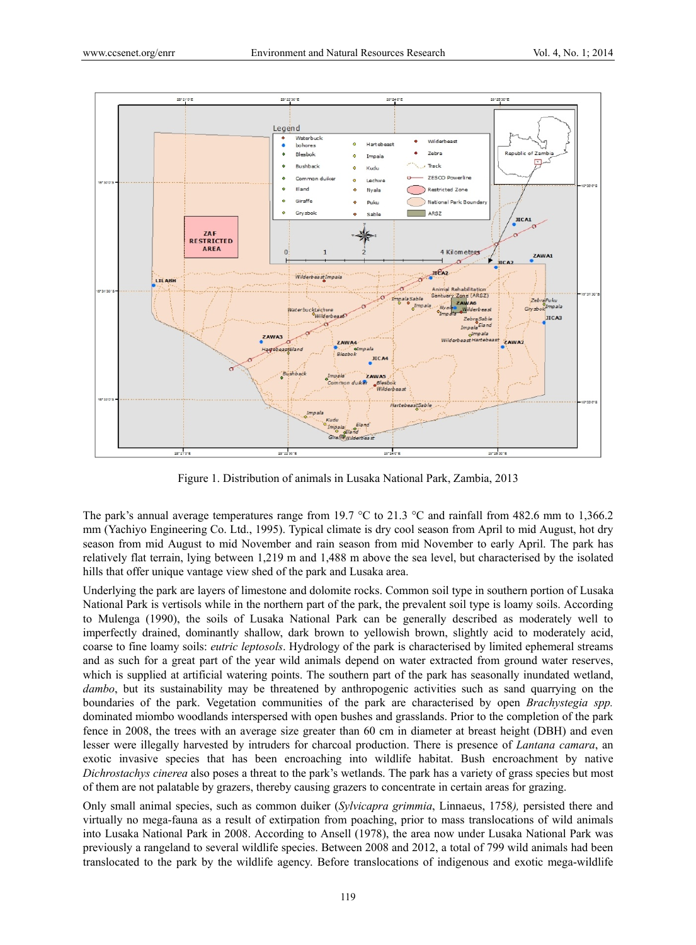

Figure 1. Distribution of animals in Lusaka National Park, Zambia, 2013

The park's annual average temperatures range from 19.7 °C to 21.3 °C and rainfall from 482.6 mm to 1,366.2 mm (Yachiyo Engineering Co. Ltd., 1995). Typical climate is dry cool season from April to mid August, hot dry season from mid August to mid November and rain season from mid November to early April. The park has relatively flat terrain, lying between 1,219 m and 1,488 m above the sea level, but characterised by the isolated hills that offer unique vantage view shed of the park and Lusaka area.

Underlying the park are layers of limestone and dolomite rocks. Common soil type in southern portion of Lusaka National Park is vertisols while in the northern part of the park, the prevalent soil type is loamy soils. According to Mulenga (1990), the soils of Lusaka National Park can be generally described as moderately well to imperfectly drained, dominantly shallow, dark brown to yellowish brown, slightly acid to moderately acid, coarse to fine loamy soils: *eutric leptosols*. Hydrology of the park is characterised by limited ephemeral streams and as such for a great part of the year wild animals depend on water extracted from ground water reserves, which is supplied at artificial watering points. The southern part of the park has seasonally inundated wetland, *dambo*, but its sustainability may be threatened by anthropogenic activities such as sand quarrying on the boundaries of the park. Vegetation communities of the park are characterised by open *Brachystegia spp.* dominated miombo woodlands interspersed with open bushes and grasslands. Prior to the completion of the park fence in 2008, the trees with an average size greater than 60 cm in diameter at breast height (DBH) and even lesser were illegally harvested by intruders for charcoal production. There is presence of *Lantana camara*, an exotic invasive species that has been encroaching into wildlife habitat. Bush encroachment by native *Dichrostachys cinerea* also poses a threat to the park's wetlands. The park has a variety of grass species but most of them are not palatable by grazers, thereby causing grazers to concentrate in certain areas for grazing.

Only small animal species, such as common duiker (*Sylvicapra grimmia*, Linnaeus, 1758*),* persisted there and virtually no mega-fauna as a result of extirpation from poaching, prior to mass translocations of wild animals into Lusaka National Park in 2008. According to Ansell (1978), the area now under Lusaka National Park was previously a rangeland to several wildlife species. Between 2008 and 2012, a total of 799 wild animals had been translocated to the park by the wildlife agency. Before translocations of indigenous and exotic mega-wildlife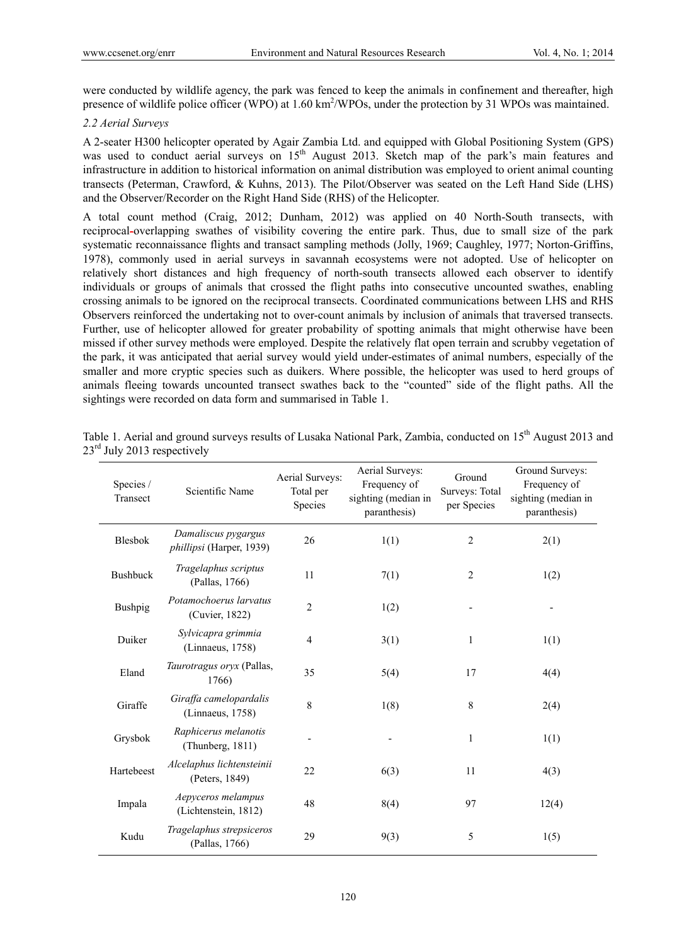were conducted by wildlife agency, the park was fenced to keep the animals in confinement and thereafter, high presence of wildlife police officer (WPO) at 1.60 km<sup>2</sup>/WPOs, under the protection by 31 WPOs was maintained.

# *2.2 Aerial Surveys*

A 2-seater H300 helicopter operated by Agair Zambia Ltd. and equipped with Global Positioning System (GPS) was used to conduct aerial surveys on 15<sup>th</sup> August 2013. Sketch map of the park's main features and infrastructure in addition to historical information on animal distribution was employed to orient animal counting transects (Peterman, Crawford, & Kuhns, 2013). The Pilot/Observer was seated on the Left Hand Side (LHS) and the Observer/Recorder on the Right Hand Side (RHS) of the Helicopter.

A total count method (Craig, 2012; Dunham, 2012) was applied on 40 North-South transects, with reciprocal-overlapping swathes of visibility covering the entire park. Thus, due to small size of the park systematic reconnaissance flights and transact sampling methods (Jolly, 1969; Caughley, 1977; Norton-Griffins, 1978), commonly used in aerial surveys in savannah ecosystems were not adopted. Use of helicopter on relatively short distances and high frequency of north-south transects allowed each observer to identify individuals or groups of animals that crossed the flight paths into consecutive uncounted swathes, enabling crossing animals to be ignored on the reciprocal transects. Coordinated communications between LHS and RHS Observers reinforced the undertaking not to over-count animals by inclusion of animals that traversed transects. Further, use of helicopter allowed for greater probability of spotting animals that might otherwise have been missed if other survey methods were employed. Despite the relatively flat open terrain and scrubby vegetation of the park, it was anticipated that aerial survey would yield under-estimates of animal numbers, especially of the smaller and more cryptic species such as duikers. Where possible, the helicopter was used to herd groups of animals fleeing towards uncounted transect swathes back to the "counted" side of the flight paths. All the sightings were recorded on data form and summarised in Table 1.

| Species /<br>Transect | Scientific Name                                 | Aerial Surveys:<br>Total per<br>Species | Aerial Surveys:<br>Frequency of<br>sighting (median in<br>paranthesis) | Ground<br>Surveys: Total<br>per Species | Ground Surveys:<br>Frequency of<br>sighting (median in<br>paranthesis) |
|-----------------------|-------------------------------------------------|-----------------------------------------|------------------------------------------------------------------------|-----------------------------------------|------------------------------------------------------------------------|
| Blesbok               | Damaliscus pygargus<br>phillipsi (Harper, 1939) | 26                                      | 1(1)                                                                   | $\overline{2}$                          | 2(1)                                                                   |
| <b>Bushbuck</b>       | Tragelaphus scriptus<br>(Pallas, 1766)          | 11                                      | 7(1)                                                                   | $\overline{c}$                          | 1(2)                                                                   |
| Bushpig               | Potamochoerus larvatus<br>(Cuvier, 1822)        | $\overline{2}$                          | 1(2)                                                                   |                                         |                                                                        |
| Duiker                | Sylvicapra grimmia<br>(Linnaeus, 1758)          | $\overline{4}$                          | 3(1)                                                                   | 1                                       | 1(1)                                                                   |
| Eland                 | Taurotragus oryx (Pallas,<br>1766)              | 35                                      | 5(4)                                                                   | 17                                      | 4(4)                                                                   |
| Giraffe               | Giraffa camelopardalis<br>(Linnaeus, 1758)      | 8                                       | 1(8)                                                                   | 8                                       | 2(4)                                                                   |
| Grysbok               | Raphicerus melanotis<br>(Thunberg, 1811)        |                                         |                                                                        | 1                                       | 1(1)                                                                   |
| Hartebeest            | Alcelaphus lichtensteinii<br>(Peters, 1849)     | 22                                      | 6(3)                                                                   | 11                                      | 4(3)                                                                   |
| Impala                | Aepyceros melampus<br>(Lichtenstein, 1812)      | 48                                      | 8(4)                                                                   | 97                                      | 12(4)                                                                  |
| Kudu                  | Tragelaphus strepsiceros<br>(Pallas, 1766)      | 29                                      | 9(3)                                                                   | 5                                       | 1(5)                                                                   |

Table 1. Aerial and ground surveys results of Lusaka National Park, Zambia, conducted on 15<sup>th</sup> August 2013 and  $23<sup>rd</sup>$  July 2013 respectively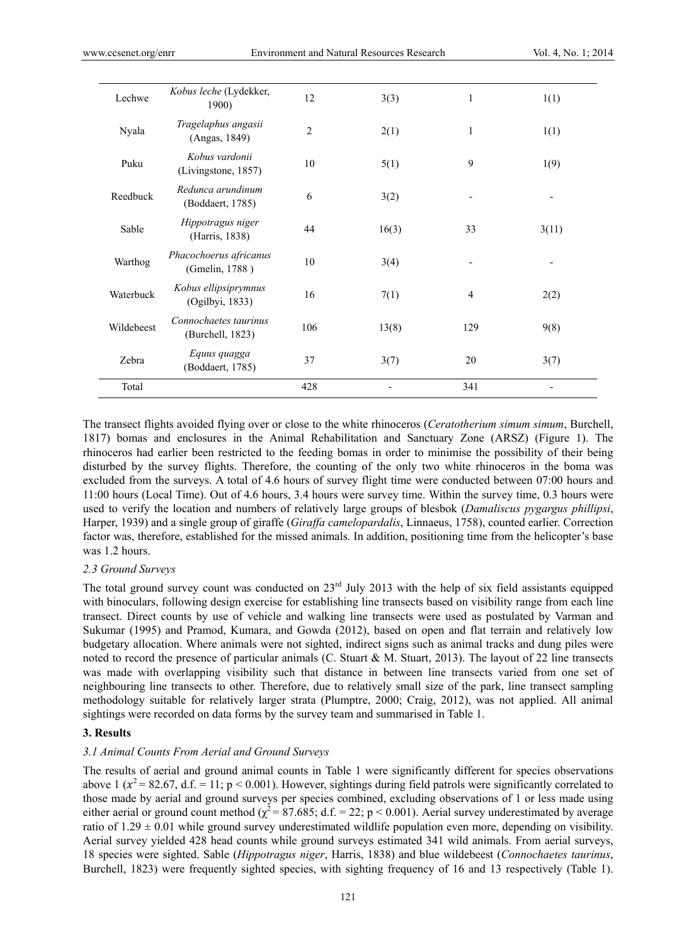| Lechwe     | Kobus leche (Lydekker,<br>1900)           | 12             | 3(3)  | 1              | 1(1)  |
|------------|-------------------------------------------|----------------|-------|----------------|-------|
| Nyala      | Tragelaphus angasii<br>(Angas, 1849)      | $\overline{2}$ | 2(1)  | 1              | 1(1)  |
| Puku       | Kobus vardonii<br>(Livingstone, 1857)     | 10             | 5(1)  | 9              | 1(9)  |
| Reedbuck   | Redunca arundinum<br>(Boddaert, 1785)     | 6              | 3(2)  |                |       |
| Sable      | Hippotragus niger<br>(Harris, 1838)       | 44             | 16(3) | 33             | 3(11) |
| Warthog    | Phacochoerus africanus<br>(Gmelin, 1788)  | 10             | 3(4)  |                |       |
| Waterbuck  | Kobus ellipsiprymnus<br>(Ogilbyi, 1833)   | 16             | 7(1)  | $\overline{4}$ | 2(2)  |
| Wildebeest | Connochaetes taurinus<br>(Burchell, 1823) | 106            | 13(8) | 129            | 9(8)  |
| Zebra      | Equus quagga<br>(Boddaert, 1785)          | 37             | 3(7)  | 20             | 3(7)  |
| Total      |                                           | 428            |       | 341            |       |
|            |                                           |                |       |                |       |

The transect flights avoided flying over or close to the white rhinoceros (*Ceratotherium simum simum*, Burchell, 1817) bomas and enclosures in the Animal Rehabilitation and Sanctuary Zone (ARSZ) (Figure 1). The rhinoceros had earlier been restricted to the feeding bomas in order to minimise the possibility of their being disturbed by the survey flights. Therefore, the counting of the only two white rhinoceros in the boma was excluded from the surveys. A total of 4.6 hours of survey flight time were conducted between 07:00 hours and 11:00 hours (Local Time). Out of 4.6 hours, 3.4 hours were survey time. Within the survey time, 0.3 hours were used to verify the location and numbers of relatively large groups of blesbok (*Damaliscus pygargus phillipsi*, Harper, 1939) and a single group of giraffe (*Giraffa camelopardalis*, Linnaeus, 1758), counted earlier. Correction factor was, therefore, established for the missed animals. In addition, positioning time from the helicopter's base was 1.2 hours.

#### *2.3 Ground Surveys*

The total ground survey count was conducted on 23<sup>rd</sup> July 2013 with the help of six field assistants equipped with binoculars, following design exercise for establishing line transects based on visibility range from each line transect. Direct counts by use of vehicle and walking line transects were used as postulated by Varman and Sukumar (1995) and Pramod, Kumara, and Gowda (2012), based on open and flat terrain and relatively low budgetary allocation. Where animals were not sighted, indirect signs such as animal tracks and dung piles were noted to record the presence of particular animals (C. Stuart & M. Stuart, 2013). The layout of 22 line transects was made with overlapping visibility such that distance in between line transects varied from one set of neighbouring line transects to other. Therefore, due to relatively small size of the park, line transect sampling methodology suitable for relatively larger strata (Plumptre, 2000; Craig, 2012), was not applied. All animal sightings were recorded on data forms by the survey team and summarised in Table 1.

# **3. Results**

#### *3.1 Animal Counts From Aerial and Ground Surveys*

The results of aerial and ground animal counts in Table 1 were significantly different for species observations above 1 ( $x^2 = 82.67$ , d.f. = 11; p < 0.001). However, sightings during field patrols were significantly correlated to those made by aerial and ground surveys per species combined, excluding observations of 1 or less made using either aerial or ground count method ( $\chi^2$  = 87.685; d.f. = 22; p < 0.001). Aerial survey underestimated by average ratio of  $1.29 \pm 0.01$  while ground survey underestimated wildlife population even more, depending on visibility. Aerial survey yielded 428 head counts while ground surveys estimated 341 wild animals. From aerial surveys, 18 species were sighted. Sable (*Hippotragus niger*, Harris, 1838) and blue wildebeest (*Connochaetes taurinus*, Burchell, 1823) were frequently sighted species, with sighting frequency of 16 and 13 respectively (Table 1).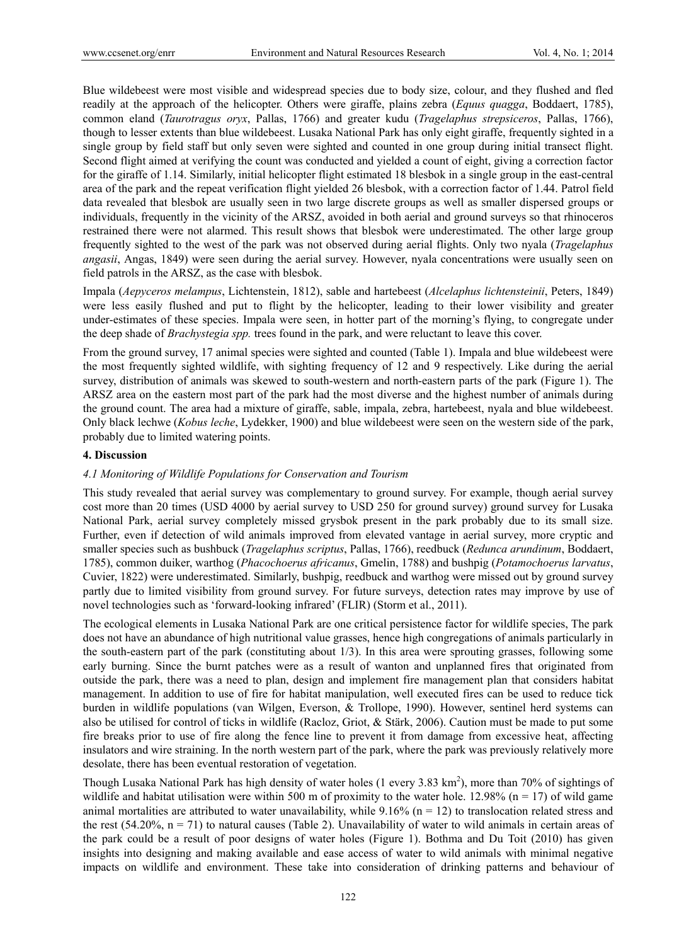Blue wildebeest were most visible and widespread species due to body size, colour, and they flushed and fled readily at the approach of the helicopter. Others were giraffe, plains zebra (*Equus quagga*, Boddaert, 1785), common eland (*Taurotragus oryx*, Pallas, 1766) and greater kudu (*Tragelaphus strepsiceros*, Pallas, 1766), though to lesser extents than blue wildebeest. Lusaka National Park has only eight giraffe, frequently sighted in a single group by field staff but only seven were sighted and counted in one group during initial transect flight. Second flight aimed at verifying the count was conducted and yielded a count of eight, giving a correction factor for the giraffe of 1.14. Similarly, initial helicopter flight estimated 18 blesbok in a single group in the east-central area of the park and the repeat verification flight yielded 26 blesbok, with a correction factor of 1.44. Patrol field data revealed that blesbok are usually seen in two large discrete groups as well as smaller dispersed groups or individuals, frequently in the vicinity of the ARSZ, avoided in both aerial and ground surveys so that rhinoceros restrained there were not alarmed. This result shows that blesbok were underestimated. The other large group frequently sighted to the west of the park was not observed during aerial flights. Only two nyala (*Tragelaphus angasii*, Angas, 1849) were seen during the aerial survey. However, nyala concentrations were usually seen on field patrols in the ARSZ, as the case with blesbok.

Impala (*Aepyceros melampus*, Lichtenstein, 1812), sable and hartebeest (*Alcelaphus lichtensteinii*, Peters, 1849) were less easily flushed and put to flight by the helicopter, leading to their lower visibility and greater under-estimates of these species. Impala were seen, in hotter part of the morning's flying, to congregate under the deep shade of *Brachystegia spp.* trees found in the park, and were reluctant to leave this cover.

From the ground survey, 17 animal species were sighted and counted (Table 1). Impala and blue wildebeest were the most frequently sighted wildlife, with sighting frequency of 12 and 9 respectively. Like during the aerial survey, distribution of animals was skewed to south-western and north-eastern parts of the park (Figure 1). The ARSZ area on the eastern most part of the park had the most diverse and the highest number of animals during the ground count. The area had a mixture of giraffe, sable, impala, zebra, hartebeest, nyala and blue wildebeest. Only black lechwe (*Kobus leche*, Lydekker, 1900) and blue wildebeest were seen on the western side of the park, probably due to limited watering points.

## **4. Discussion**

# *4.1 Monitoring of Wildlife Populations for Conservation and Tourism*

This study revealed that aerial survey was complementary to ground survey. For example, though aerial survey cost more than 20 times (USD 4000 by aerial survey to USD 250 for ground survey) ground survey for Lusaka National Park, aerial survey completely missed grysbok present in the park probably due to its small size. Further, even if detection of wild animals improved from elevated vantage in aerial survey, more cryptic and smaller species such as bushbuck (*Tragelaphus scriptus*, Pallas, 1766), reedbuck (*Redunca arundinum*, Boddaert, 1785), common duiker, warthog (*Phacochoerus africanus*, Gmelin, 1788) and bushpig (*Potamochoerus larvatus*, Cuvier, 1822) were underestimated. Similarly, bushpig, reedbuck and warthog were missed out by ground survey partly due to limited visibility from ground survey. For future surveys, detection rates may improve by use of novel technologies such as 'forward-looking infrared' (FLIR) (Storm et al., 2011).

The ecological elements in Lusaka National Park are one critical persistence factor for wildlife species, The park does not have an abundance of high nutritional value grasses, hence high congregations of animals particularly in the south-eastern part of the park (constituting about 1/3). In this area were sprouting grasses, following some early burning. Since the burnt patches were as a result of wanton and unplanned fires that originated from outside the park, there was a need to plan, design and implement fire management plan that considers habitat management. In addition to use of fire for habitat manipulation, well executed fires can be used to reduce tick burden in wildlife populations (van Wilgen, Everson, & Trollope, 1990). However, sentinel herd systems can also be utilised for control of ticks in wildlife (Racloz, Griot, & Stärk, 2006). Caution must be made to put some fire breaks prior to use of fire along the fence line to prevent it from damage from excessive heat, affecting insulators and wire straining. In the north western part of the park, where the park was previously relatively more desolate, there has been eventual restoration of vegetation.

Though Lusaka National Park has high density of water holes  $(1 \text{ every } 3.83 \text{ km}^2)$ , more than 70% of sightings of wildlife and habitat utilisation were within 500 m of proximity to the water hole. 12.98% ( $n = 17$ ) of wild game animal mortalities are attributed to water unavailability, while  $9.16\%$  (n = 12) to translocation related stress and the rest (54.20%,  $n = 71$ ) to natural causes (Table 2). Unavailability of water to wild animals in certain areas of the park could be a result of poor designs of water holes (Figure 1). Bothma and Du Toit (2010) has given insights into designing and making available and ease access of water to wild animals with minimal negative impacts on wildlife and environment. These take into consideration of drinking patterns and behaviour of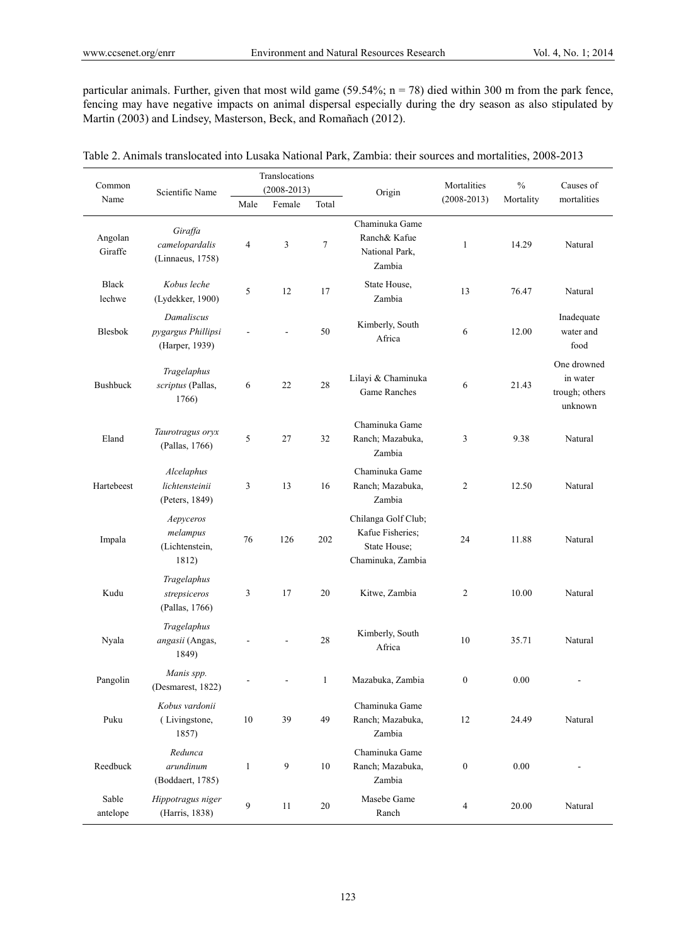particular animals. Further, given that most wild game (59.54%; n = 78) died within 300 m from the park fence, fencing may have negative impacts on animal dispersal especially during the dry season as also stipulated by Martin (2003) and Lindsey, Masterson, Beck, and Romañach (2012).

| Common                  |                                                    | Translocations          |                  |              |                                                                              | Mortalities      | $\frac{0}{0}$ | Causes of                                            |
|-------------------------|----------------------------------------------------|-------------------------|------------------|--------------|------------------------------------------------------------------------------|------------------|---------------|------------------------------------------------------|
| Scientific Name<br>Name |                                                    | $(2008 - 2013)$         |                  | Origin       | $(2008 - 2013)$                                                              | Mortality        | mortalities   |                                                      |
|                         |                                                    | Male                    | Female           | Total        |                                                                              |                  |               |                                                      |
| Angolan<br>Giraffe      | Giraffa<br>camelopardalis<br>(Linnaeus, 1758)      | $\overline{\mathbf{4}}$ | 3                | $\tau$       | Chaminuka Game<br>Ranch& Kafue<br>National Park,<br>Zambia                   | 1                | 14.29         | Natural                                              |
| <b>Black</b><br>lechwe  | Kobus leche<br>(Lydekker, 1900)                    | 5                       | 12               | 17           | State House,<br>Zambia                                                       | 13               | 76.47         | Natural                                              |
| Blesbok                 | Damaliscus<br>pygargus Phillipsi<br>(Harper, 1939) |                         |                  | 50           | Kimberly, South<br>Africa                                                    | 6                | 12.00         | Inadequate<br>water and<br>food                      |
| Bushbuck                | Tragelaphus<br>scriptus (Pallas,<br>1766)          | 6                       | 22               | $28\,$       | Lilayi & Chaminuka<br>Game Ranches                                           | 6                | 21.43         | One drowned<br>in water<br>trough; others<br>unknown |
| Eland                   | Taurotragus oryx<br>(Pallas, 1766)                 | 5                       | 27               | 32           | Chaminuka Game<br>Ranch; Mazabuka,<br>Zambia                                 | 3                | 9.38          | Natural                                              |
| Hartebeest              | Alcelaphus<br>lichtensteinii<br>(Peters, 1849)     | 3                       | 13               | 16           | Chaminuka Game<br>Ranch; Mazabuka,<br>Zambia                                 | $\overline{c}$   | 12.50         | Natural                                              |
| Impala                  | Aepyceros<br>melampus<br>(Lichtenstein,<br>1812)   | 76                      | 126              | 202          | Chilanga Golf Club;<br>Kafue Fisheries;<br>State House;<br>Chaminuka, Zambia | 24               | 11.88         | Natural                                              |
| Kudu                    | Tragelaphus<br>strepsiceros<br>(Pallas, 1766)      | 3                       | 17               | 20           | Kitwe, Zambia                                                                | $\overline{c}$   | 10.00         | Natural                                              |
| Nyala                   | Tragelaphus<br>angasii (Angas,<br>1849)            |                         |                  | 28           | Kimberly, South<br>Africa                                                    | 10               | 35.71         | Natural                                              |
| Pangolin                | Manis spp.<br>(Desmarest, 1822)                    |                         |                  | $\mathbf{1}$ | Mazabuka, Zambia                                                             | $\boldsymbol{0}$ | 0.00          |                                                      |
| Puku                    | Kobus vardonii<br>(Livingstone,<br>1857)           | $10\,$                  | 39               | 49           | Chaminuka Game<br>Ranch; Mazabuka,<br>Zambia                                 | 12               | 24.49         | Natural                                              |
| Reedbuck                | Redunca<br>arundinum<br>(Boddaert, 1785)           | $\mathbf{1}$            | $\boldsymbol{9}$ | 10           | Chaminuka Game<br>Ranch; Mazabuka,<br>Zambia                                 | $\boldsymbol{0}$ | 0.00          | $\frac{1}{2}$                                        |
| Sable<br>antelope       | Hippotragus niger<br>(Harris, 1838)                | 9                       | 11               | 20           | Masebe Game<br>Ranch                                                         | 4                | 20.00         | Natural                                              |

| Table 2. Animals translocated into Lusaka National Park. Zambia: their sources and mortalities, 2008-2013 |
|-----------------------------------------------------------------------------------------------------------|
|-----------------------------------------------------------------------------------------------------------|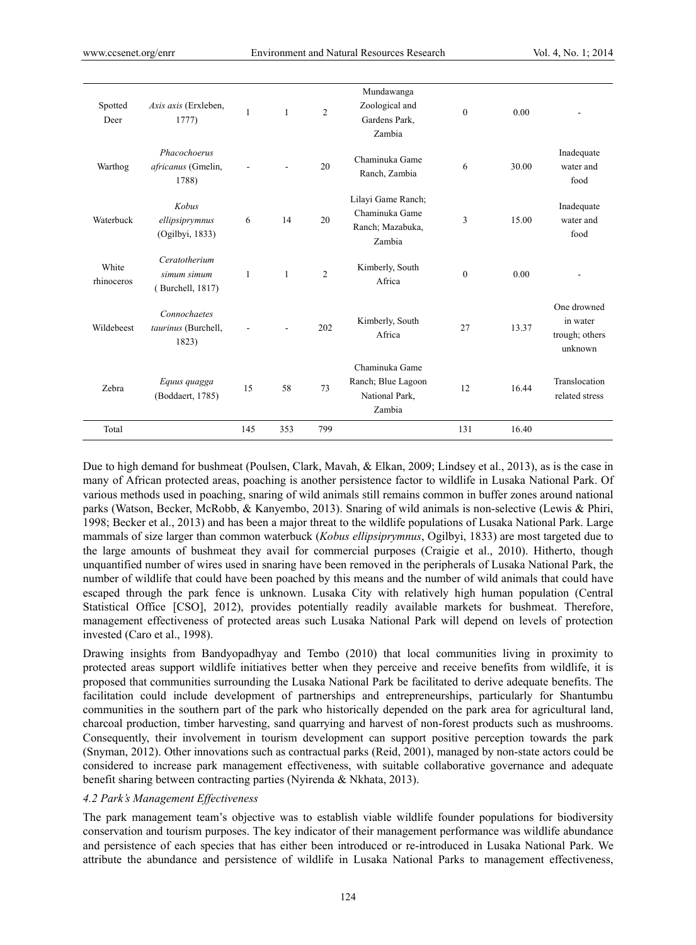| Spotted<br>Deer     | Axis axis (Erxleben,<br>1777                     | 1            | $\mathbf{1}$ | $\overline{2}$ | Mundawanga<br>Zoological and<br>Gardens Park,<br>Zambia            | $\theta$ | 0.00  |                                                      |
|---------------------|--------------------------------------------------|--------------|--------------|----------------|--------------------------------------------------------------------|----------|-------|------------------------------------------------------|
| Warthog             | Phacochoerus<br>africanus (Gmelin,<br>1788)      |              |              | 20             | Chaminuka Game<br>Ranch, Zambia                                    | 6        | 30.00 | Inadequate<br>water and<br>food                      |
| Waterbuck           | Kobus<br>ellipsiprymnus<br>(Ogilbyi, 1833)       | 6            | 14           | 20             | Lilayi Game Ranch;<br>Chaminuka Game<br>Ranch; Mazabuka,<br>Zambia | 3        | 15.00 | Inadequate<br>water and<br>food                      |
| White<br>rhinoceros | Ceratotherium<br>simum simum<br>(Burchell, 1817) | $\mathbf{1}$ | $\mathbf{1}$ | $\overline{2}$ | Kimberly, South<br>Africa                                          | $\theta$ | 0.00  |                                                      |
| Wildebeest          | Connochaetes<br>taurinus (Burchell,<br>1823)     |              |              | 202            | Kimberly, South<br>Africa                                          | 27       | 13.37 | One drowned<br>in water<br>trough; others<br>unknown |
| Zebra               | Equus quagga<br>(Boddaert, 1785)                 | 15           | 58           | 73             | Chaminuka Game<br>Ranch; Blue Lagoon<br>National Park,<br>Zambia   | 12       | 16.44 | Translocation<br>related stress                      |
| Total               |                                                  | 145          | 353          | 799            |                                                                    | 131      | 16.40 |                                                      |

Due to high demand for bushmeat (Poulsen, Clark, Mavah, & Elkan, 2009; Lindsey et al., 2013), as is the case in many of African protected areas, poaching is another persistence factor to wildlife in Lusaka National Park. Of various methods used in poaching, snaring of wild animals still remains common in buffer zones around national parks (Watson, Becker, McRobb, & Kanyembo, 2013). Snaring of wild animals is non-selective (Lewis & Phiri, 1998; Becker et al., 2013) and has been a major threat to the wildlife populations of Lusaka National Park. Large mammals of size larger than common waterbuck (*Kobus ellipsiprymnus*, Ogilbyi, 1833) are most targeted due to the large amounts of bushmeat they avail for commercial purposes (Craigie et al., 2010). Hitherto, though unquantified number of wires used in snaring have been removed in the peripherals of Lusaka National Park, the number of wildlife that could have been poached by this means and the number of wild animals that could have escaped through the park fence is unknown. Lusaka City with relatively high human population (Central Statistical Office [CSO], 2012), provides potentially readily available markets for bushmeat. Therefore, management effectiveness of protected areas such Lusaka National Park will depend on levels of protection invested (Caro et al., 1998).

Drawing insights from Bandyopadhyay and Tembo (2010) that local communities living in proximity to protected areas support wildlife initiatives better when they perceive and receive benefits from wildlife, it is proposed that communities surrounding the Lusaka National Park be facilitated to derive adequate benefits. The facilitation could include development of partnerships and entrepreneurships, particularly for Shantumbu communities in the southern part of the park who historically depended on the park area for agricultural land, charcoal production, timber harvesting, sand quarrying and harvest of non-forest products such as mushrooms. Consequently, their involvement in tourism development can support positive perception towards the park (Snyman, 2012). Other innovations such as contractual parks (Reid, 2001), managed by non-state actors could be considered to increase park management effectiveness, with suitable collaborative governance and adequate benefit sharing between contracting parties (Nyirenda & Nkhata, 2013).

#### *4.2 Park's Management Effectiveness*

The park management team's objective was to establish viable wildlife founder populations for biodiversity conservation and tourism purposes. The key indicator of their management performance was wildlife abundance and persistence of each species that has either been introduced or re-introduced in Lusaka National Park. We attribute the abundance and persistence of wildlife in Lusaka National Parks to management effectiveness,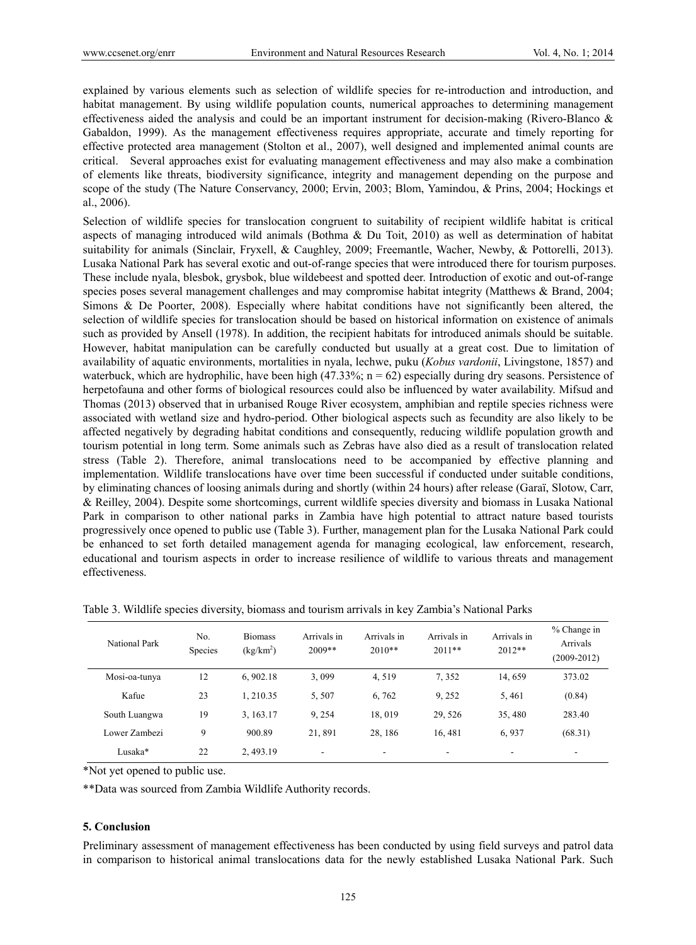explained by various elements such as selection of wildlife species for re-introduction and introduction, and habitat management. By using wildlife population counts, numerical approaches to determining management effectiveness aided the analysis and could be an important instrument for decision-making (Rivero-Blanco & Gabaldon, 1999). As the management effectiveness requires appropriate, accurate and timely reporting for effective protected area management (Stolton et al., 2007), well designed and implemented animal counts are critical. Several approaches exist for evaluating management effectiveness and may also make a combination of elements like threats, biodiversity significance, integrity and management depending on the purpose and scope of the study (The Nature Conservancy, 2000; Ervin, 2003; Blom, Yamindou, & Prins, 2004; Hockings et al., 2006).

Selection of wildlife species for translocation congruent to suitability of recipient wildlife habitat is critical aspects of managing introduced wild animals (Bothma & Du Toit, 2010) as well as determination of habitat suitability for animals (Sinclair, Fryxell, & Caughley, 2009; Freemantle, Wacher, Newby, & Pottorelli, 2013). Lusaka National Park has several exotic and out-of-range species that were introduced there for tourism purposes. These include nyala, blesbok, grysbok, blue wildebeest and spotted deer. Introduction of exotic and out-of-range species poses several management challenges and may compromise habitat integrity (Matthews & Brand, 2004; Simons & De Poorter, 2008). Especially where habitat conditions have not significantly been altered, the selection of wildlife species for translocation should be based on historical information on existence of animals such as provided by Ansell (1978). In addition, the recipient habitats for introduced animals should be suitable. However, habitat manipulation can be carefully conducted but usually at a great cost. Due to limitation of availability of aquatic environments, mortalities in nyala, lechwe, puku (*Kobus vardonii*, Livingstone, 1857) and waterbuck, which are hydrophilic, have been high  $(47.33\%; n = 62)$  especially during dry seasons. Persistence of herpetofauna and other forms of biological resources could also be influenced by water availability. Mifsud and Thomas (2013) observed that in urbanised Rouge River ecosystem, amphibian and reptile species richness were associated with wetland size and hydro-period. Other biological aspects such as fecundity are also likely to be affected negatively by degrading habitat conditions and consequently, reducing wildlife population growth and tourism potential in long term. Some animals such as Zebras have also died as a result of translocation related stress (Table 2). Therefore, animal translocations need to be accompanied by effective planning and implementation. Wildlife translocations have over time been successful if conducted under suitable conditions, by eliminating chances of loosing animals during and shortly (within 24 hours) after release (Garaї, Slotow, Carr, & Reilley, 2004). Despite some shortcomings, current wildlife species diversity and biomass in Lusaka National Park in comparison to other national parks in Zambia have high potential to attract nature based tourists progressively once opened to public use (Table 3). Further, management plan for the Lusaka National Park could be enhanced to set forth detailed management agenda for managing ecological, law enforcement, research, educational and tourism aspects in order to increase resilience of wildlife to various threats and management effectiveness.

| National Park | No.<br>Species | <b>Biomass</b><br>$(kg/km^2)$ | Arrivals in<br>$2009**$ | Arrivals in<br>$2010**$ | Arrivals in<br>$2011**$ | Arrivals in<br>$2012**$ | % Change in<br>Arrivals<br>$(2009 - 2012)$ |
|---------------|----------------|-------------------------------|-------------------------|-------------------------|-------------------------|-------------------------|--------------------------------------------|
| Mosi-oa-tunya | 12             | 6,902.18                      | 3,099                   | 4,519                   | 7,352                   | 14, 659                 | 373.02                                     |
| Kafue         | 23             | 1.210.35                      | 5,507                   | 6,762                   | 9,252                   | 5,461                   | (0.84)                                     |
| South Luangwa | 19             | 3, 163.17                     | 9, 254                  | 18.019                  | 29, 526                 | 35.480                  | 283.40                                     |
| Lower Zambezi | 9              | 900.89                        | 21,891                  | 28.186                  | 16.481                  | 6,937                   | (68.31)                                    |
| Lusaka*       | 22             | 2, 493.19                     | ۰                       |                         | -                       | -                       | $\overline{\phantom{a}}$                   |

Table 3. Wildlife species diversity, biomass and tourism arrivals in key Zambia's National Parks

\*Not yet opened to public use.

\*\*Data was sourced from Zambia Wildlife Authority records.

# **5. Conclusion**

Preliminary assessment of management effectiveness has been conducted by using field surveys and patrol data in comparison to historical animal translocations data for the newly established Lusaka National Park. Such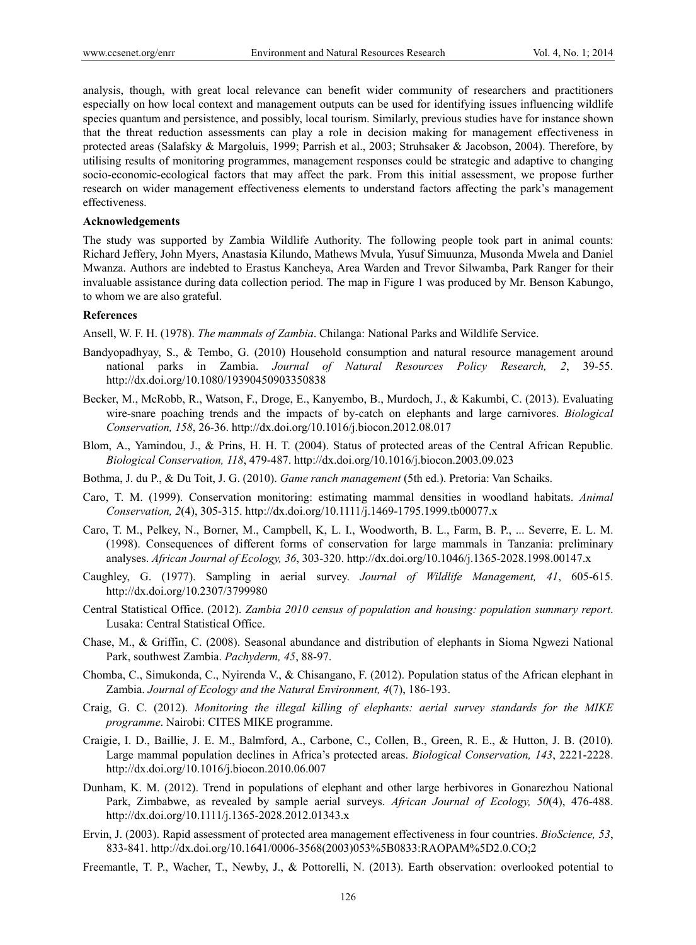analysis, though, with great local relevance can benefit wider community of researchers and practitioners especially on how local context and management outputs can be used for identifying issues influencing wildlife species quantum and persistence, and possibly, local tourism. Similarly, previous studies have for instance shown that the threat reduction assessments can play a role in decision making for management effectiveness in protected areas (Salafsky & Margoluis, 1999; Parrish et al., 2003; Struhsaker & Jacobson, 2004). Therefore, by utilising results of monitoring programmes, management responses could be strategic and adaptive to changing socio-economic-ecological factors that may affect the park. From this initial assessment, we propose further research on wider management effectiveness elements to understand factors affecting the park's management effectiveness.

#### **Acknowledgements**

The study was supported by Zambia Wildlife Authority. The following people took part in animal counts: Richard Jeffery, John Myers, Anastasia Kilundo, Mathews Mvula, Yusuf Simuunza, Musonda Mwela and Daniel Mwanza. Authors are indebted to Erastus Kancheya, Area Warden and Trevor Silwamba, Park Ranger for their invaluable assistance during data collection period. The map in Figure 1 was produced by Mr. Benson Kabungo, to whom we are also grateful.

# **References**

Ansell, W. F. H. (1978). *The mammals of Zambia*. Chilanga: National Parks and Wildlife Service.

- Bandyopadhyay, S., & Tembo, G. (2010) Household consumption and natural resource management around national parks in Zambia. *Journal of Natural Resources Policy Research, 2*, 39-55. http://dx.doi.org/10.1080/19390450903350838
- Becker, M., McRobb, R., Watson, F., Droge, E., Kanyembo, B., Murdoch, J., & Kakumbi, C. (2013). Evaluating wire-snare poaching trends and the impacts of by-catch on elephants and large carnivores. *Biological Conservation, 158*, 26-36. http://dx.doi.org/10.1016/j.biocon.2012.08.017
- Blom, A., Yamindou, J., & Prins, H. H. T. (2004). Status of protected areas of the Central African Republic. *Biological Conservation, 118*, 479-487. http://dx.doi.org/10.1016/j.biocon.2003.09.023
- Bothma, J. du P., & Du Toit, J. G. (2010). *Game ranch management* (5th ed.). Pretoria: Van Schaiks.
- Caro, T. M. (1999). Conservation monitoring: estimating mammal densities in woodland habitats. *Animal Conservation, 2*(4), 305-315. http://dx.doi.org/10.1111/j.1469-1795.1999.tb00077.x
- Caro, T. M., Pelkey, N., Borner, M., Campbell, K, L. I., Woodworth, B. L., Farm, B. P., ... Severre, E. L. M. (1998). Consequences of different forms of conservation for large mammals in Tanzania: preliminary analyses. *African Journal of Ecology, 36*, 303-320. http://dx.doi.org/10.1046/j.1365-2028.1998.00147.x
- Caughley, G. (1977). Sampling in aerial survey. *Journal of Wildlife Management, 41*, 605-615. http://dx.doi.org/10.2307/3799980
- Central Statistical Office. (2012). *Zambia 2010 census of population and housing: population summary report*. Lusaka: Central Statistical Office.
- Chase, M., & Griffin, C. (2008). Seasonal abundance and distribution of elephants in Sioma Ngwezi National Park, southwest Zambia. *Pachyderm, 45*, 88-97.
- Chomba, C., Simukonda, C., Nyirenda V., & Chisangano, F. (2012). Population status of the African elephant in Zambia. *Journal of Ecology and the Natural Environment, 4*(7), 186-193.
- Craig, G. C. (2012). *Monitoring the illegal killing of elephants: aerial survey standards for the MIKE programme*. Nairobi: CITES MIKE programme.
- Craigie, I. D., Baillie, J. E. M., Balmford, A., Carbone, C., Collen, B., Green, R. E., & Hutton, J. B. (2010). Large mammal population declines in Africa's protected areas. *Biological Conservation, 143*, 2221-2228. http://dx.doi.org/10.1016/j.biocon.2010.06.007
- Dunham, K. M. (2012). Trend in populations of elephant and other large herbivores in Gonarezhou National Park, Zimbabwe, as revealed by sample aerial surveys. *African Journal of Ecology, 50*(4), 476-488. http://dx.doi.org/10.1111/j.1365-2028.2012.01343.x
- Ervin, J. (2003). Rapid assessment of protected area management effectiveness in four countries. *BioScience, 53*, 833-841. http://dx.doi.org/10.1641/0006-3568(2003)053%5B0833:RAOPAM%5D2.0.CO;2
- Freemantle, T. P., Wacher, T., Newby, J., & Pottorelli, N. (2013). Earth observation: overlooked potential to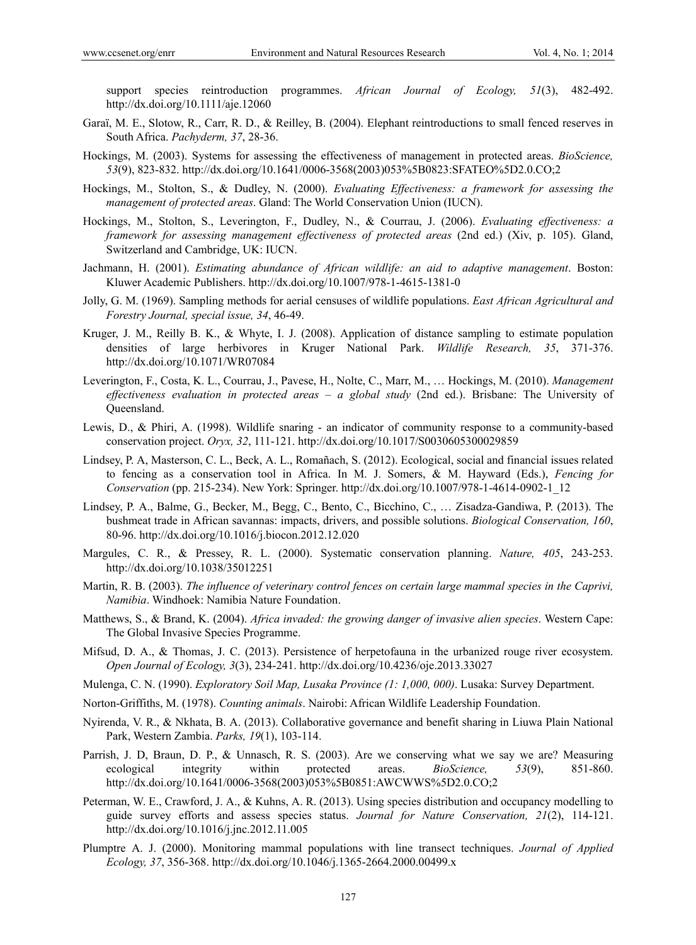support species reintroduction programmes. *African Journal of Ecology, 51*(3), 482-492. http://dx.doi.org/10.1111/aje.12060

- Garaї, M. E., Slotow, R., Carr, R. D., & Reilley, B. (2004). Elephant reintroductions to small fenced reserves in South Africa. *Pachyderm, 37*, 28-36.
- Hockings, M. (2003). Systems for assessing the effectiveness of management in protected areas. *BioScience, 53*(9), 823-832. http://dx.doi.org/10.1641/0006-3568(2003)053%5B0823:SFATEO%5D2.0.CO;2
- Hockings, M., Stolton, S., & Dudley, N. (2000). *Evaluating Effectiveness: a framework for assessing the management of protected areas*. Gland: The World Conservation Union (IUCN).
- Hockings, M., Stolton, S., Leverington, F., Dudley, N., & Courrau, J. (2006). *Evaluating effectiveness: a framework for assessing management effectiveness of protected areas* (2nd ed.) (Xiv, p. 105). Gland, Switzerland and Cambridge, UK: IUCN.
- Jachmann, H. (2001). *Estimating abundance of African wildlife: an aid to adaptive management*. Boston: Kluwer Academic Publishers. http://dx.doi.org/10.1007/978-1-4615-1381-0
- Jolly, G. M. (1969). Sampling methods for aerial censuses of wildlife populations. *East African Agricultural and Forestry Journal, special issue, 34*, 46-49.
- Kruger, J. M., Reilly B. K., & Whyte, I. J. (2008). Application of distance sampling to estimate population densities of large herbivores in Kruger National Park. *Wildlife Research, 35*, 371-376. http://dx.doi.org/10.1071/WR07084
- Leverington, F., Costa, K. L., Courrau, J., Pavese, H., Nolte, C., Marr, M., … Hockings, M. (2010). *Management effectiveness evaluation in protected areas – a global study* (2nd ed.). Brisbane: The University of Queensland.
- Lewis, D., & Phiri, A. (1998). Wildlife snaring an indicator of community response to a community-based conservation project. *Oryx, 32*, 111-121. http://dx.doi.org/10.1017/S0030605300029859
- Lindsey, P. A, Masterson, C. L., Beck, A. L., Romañach, S. (2012). Ecological, social and financial issues related to fencing as a conservation tool in Africa. In M. J. Somers, & M. Hayward (Eds.), *Fencing for Conservation* (pp. 215-234). New York: Springer. http://dx.doi.org/10.1007/978-1-4614-0902-1\_12
- Lindsey, P. A., Balme, G., Becker, M., Begg, C., Bento, C., Bicchino, C., … Zisadza-Gandiwa, P. (2013). The bushmeat trade in African savannas: impacts, drivers, and possible solutions. *Biological Conservation, 160*, 80-96. http://dx.doi.org/10.1016/j.biocon.2012.12.020
- Margules, C. R., & Pressey, R. L. (2000). Systematic conservation planning. *Nature, 405*, 243-253. http://dx.doi.org/10.1038/35012251
- Martin, R. B. (2003). *The influence of veterinary control fences on certain large mammal species in the Caprivi, Namibia*. Windhoek: Namibia Nature Foundation.
- Matthews, S., & Brand, K. (2004). *Africa invaded: the growing danger of invasive alien species*. Western Cape: The Global Invasive Species Programme.
- Mifsud, D. A., & Thomas, J. C. (2013). Persistence of herpetofauna in the urbanized rouge river ecosystem. *Open Journal of Ecology, 3*(3), 234-241. http://dx.doi.org/10.4236/oje.2013.33027
- Mulenga, C. N. (1990). *Exploratory Soil Map, Lusaka Province (1: 1,000, 000)*. Lusaka: Survey Department.
- Norton-Griffiths, M. (1978). *Counting animals*. Nairobi: African Wildlife Leadership Foundation.
- Nyirenda, V. R., & Nkhata, B. A. (2013). Collaborative governance and benefit sharing in Liuwa Plain National Park, Western Zambia. *Parks, 19*(1), 103-114.
- Parrish, J. D, Braun, D. P., & Unnasch, R. S. (2003). Are we conserving what we say we are? Measuring ecological integrity within protected areas. *BioScience, 53*(9), 851-860. http://dx.doi.org/10.1641/0006-3568(2003)053%5B0851:AWCWWS%5D2.0.CO;2
- Peterman, W. E., Crawford, J. A., & Kuhns, A. R. (2013). Using species distribution and occupancy modelling to guide survey efforts and assess species status. *Journal for Nature Conservation, 21*(2), 114-121. http://dx.doi.org/10.1016/j.jnc.2012.11.005
- Plumptre A. J. (2000). Monitoring mammal populations with line transect techniques. *Journal of Applied Ecology, 37*, 356-368. http://dx.doi.org/10.1046/j.1365-2664.2000.00499.x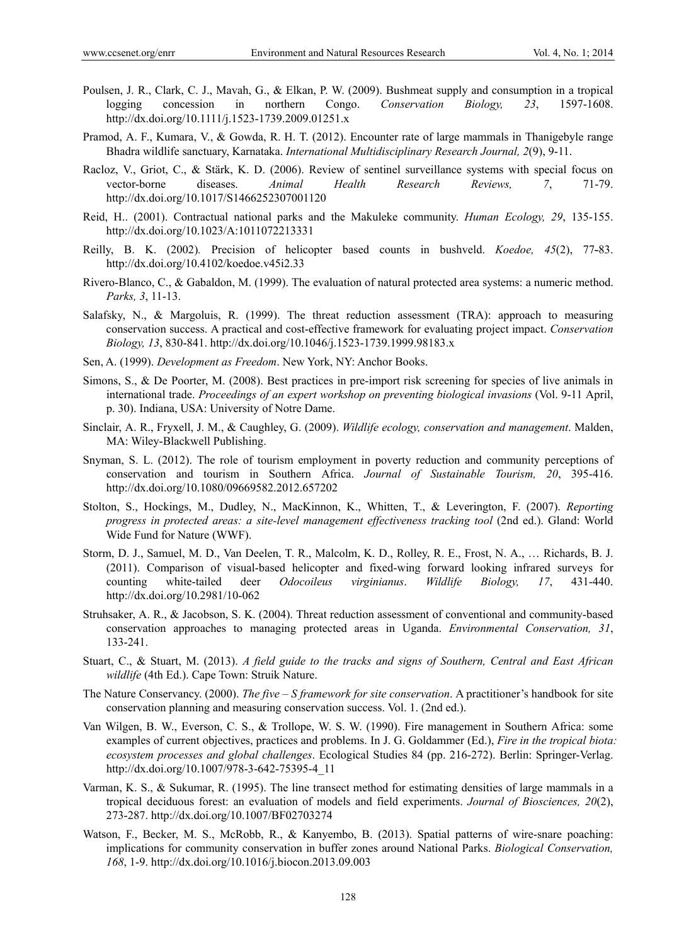- Poulsen, J. R., Clark, C. J., Mavah, G., & Elkan, P. W. (2009). Bushmeat supply and consumption in a tropical logging concession in northern Congo. *Conservation Biology, 23*, 1597-1608. http://dx.doi.org/10.1111/j.1523-1739.2009.01251.x
- Pramod, A. F., Kumara, V., & Gowda, R. H. T. (2012). Encounter rate of large mammals in Thanigebyle range Bhadra wildlife sanctuary, Karnataka. *International Multidisciplinary Research Journal, 2*(9), 9-11.
- Racloz, V., Griot, C., & Stärk, K. D. (2006). Review of sentinel surveillance systems with special focus on vector-borne diseases. *Animal Health Research Reviews, 7*, 71-79. http://dx.doi.org/10.1017/S1466252307001120
- Reid, H.. (2001). Contractual national parks and the Makuleke community. *Human Ecology, 29*, 135-155. http://dx.doi.org/10.1023/A:1011072213331
- Reilly, B. K. (2002)*.* Precision of helicopter based counts in bushveld. *Koedoe, 45*(2), 77-83. http://dx.doi.org/10.4102/koedoe.v45i2.33
- Rivero-Blanco, C., & Gabaldon, M. (1999). The evaluation of natural protected area systems: a numeric method. *Parks, 3*, 11-13.
- Salafsky, N., & Margoluis, R. (1999). The threat reduction assessment (TRA): approach to measuring conservation success. A practical and cost-effective framework for evaluating project impact. *Conservation Biology, 13*, 830-841. http://dx.doi.org/10.1046/j.1523-1739.1999.98183.x
- Sen, A. (1999). *Development as Freedom*. New York, NY: Anchor Books.
- Simons, S., & De Poorter, M. (2008). Best practices in pre-import risk screening for species of live animals in international trade. *Proceedings of an expert workshop on preventing biological invasions* (Vol. 9-11 April, p. 30). Indiana, USA: University of Notre Dame.
- Sinclair, A. R., Fryxell, J. M., & Caughley, G. (2009). *Wildlife ecology, conservation and management*. Malden, MA: Wiley-Blackwell Publishing.
- Snyman, S. L. (2012). The role of tourism employment in poverty reduction and community perceptions of conservation and tourism in Southern Africa. *Journal of Sustainable Tourism, 20*, 395-416. http://dx.doi.org/10.1080/09669582.2012.657202
- Stolton, S., Hockings, M., Dudley, N., MacKinnon, K., Whitten, T., & Leverington, F. (2007). *Reporting progress in protected areas: a site-level management effectiveness tracking tool* (2nd ed.). Gland: World Wide Fund for Nature (WWF).
- Storm, D. J., Samuel, M. D., Van Deelen, T. R., Malcolm, K. D., Rolley, R. E., Frost, N. A., … Richards, B. J. (2011). Comparison of visual-based helicopter and fixed-wing forward looking infrared surveys for counting white-tailed deer *Odocoileus virginianus*. *Wildlife Biology, 17*, 431-440. http://dx.doi.org/10.2981/10-062
- Struhsaker, A. R., & Jacobson, S. K. (2004). Threat reduction assessment of conventional and community-based conservation approaches to managing protected areas in Uganda. *Environmental Conservation, 31*, 133-241.
- Stuart, C., & Stuart, M. (2013). *A field guide to the tracks and signs of Southern, Central and East African wildlife* (4th Ed.). Cape Town: Struik Nature.
- The Nature Conservancy. (2000). *The five S framework for site conservation*. A practitioner's handbook for site conservation planning and measuring conservation success. Vol. 1. (2nd ed.).
- Van Wilgen, B. W., Everson, C. S., & Trollope, W. S. W. (1990). Fire management in Southern Africa: some examples of current objectives, practices and problems. In J. G. Goldammer (Ed.), *Fire in the tropical biota: ecosystem processes and global challenges*. Ecological Studies 84 (pp. 216-272). Berlin: Springer-Verlag. http://dx.doi.org/10.1007/978-3-642-75395-4\_11
- Varman, K. S., & Sukumar, R. (1995). The line transect method for estimating densities of large mammals in a tropical deciduous forest: an evaluation of models and field experiments. *Journal of Biosciences, 20*(2), 273-287. http://dx.doi.org/10.1007/BF02703274
- Watson, F., Becker, M. S., McRobb, R., & Kanyembo, B. (2013). Spatial patterns of wire-snare poaching: implications for community conservation in buffer zones around National Parks. *Biological Conservation, 168*, 1-9. http://dx.doi.org/10.1016/j.biocon.2013.09.003